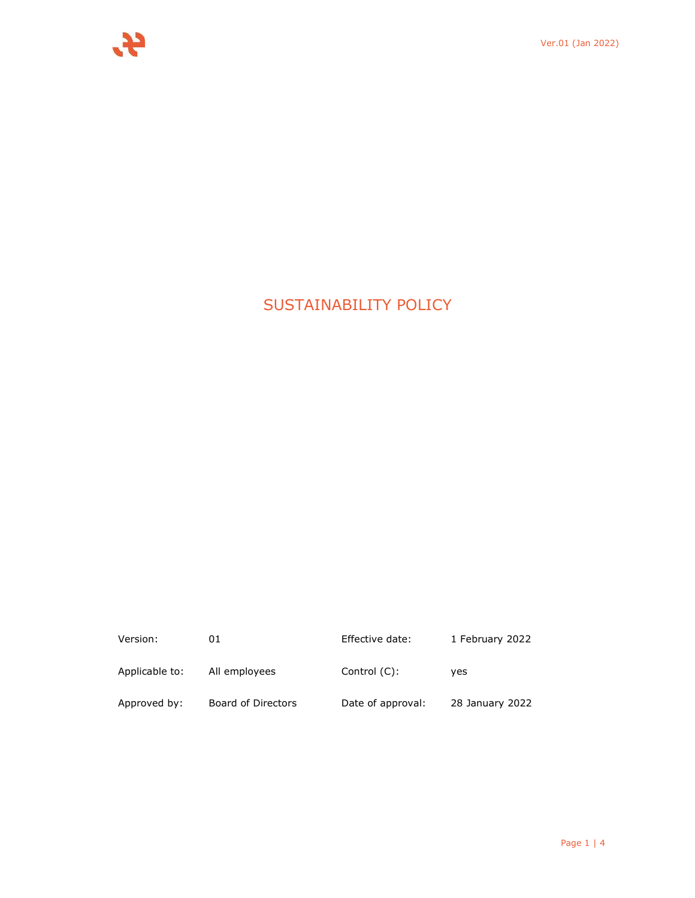# SUSTAINABILITY POLICY

| Version:       | 01                 | Effective date:   | 1 February 2022 |
|----------------|--------------------|-------------------|-----------------|
| Applicable to: | All employees      | Control $(C)$ :   | ves             |
| Approved by:   | Board of Directors | Date of approval: | 28 January 2022 |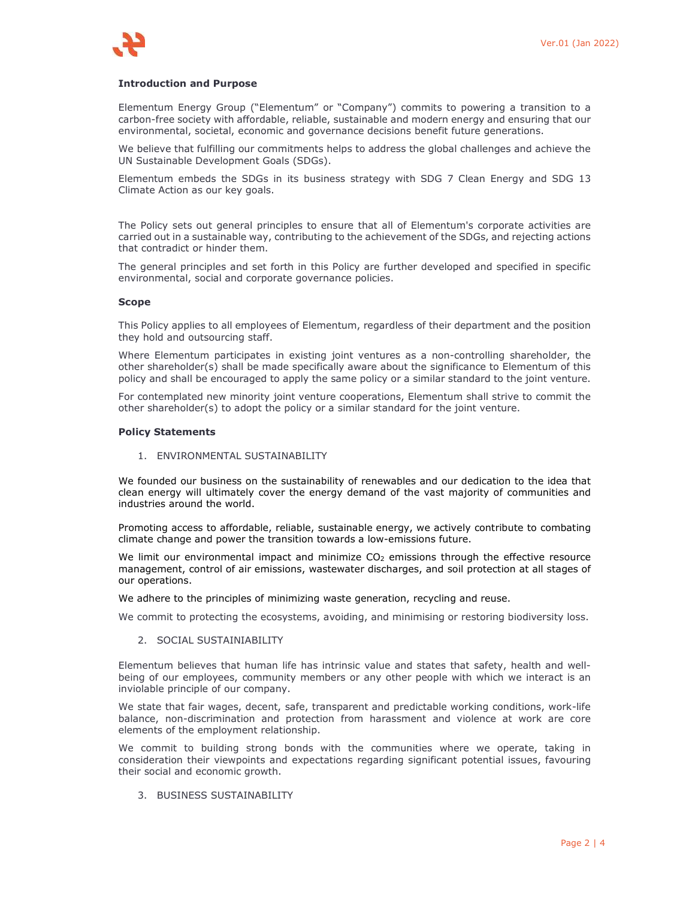## **Introduction and Purpose**

Elementum Energy Group ("Elementum" or "Company") commits to powering a transition to a carbon-free society with affordable, reliable, sustainable and modern energy and ensuring that our environmental, societal, economic and governance decisions benefit future generations.

We believe that fulfilling our commitments helps to address the global challenges and achieve the UN Sustainable Development Goals (SDGs).

Elementum embeds the SDGs in its business strategy with SDG 7 Clean Energy and SDG 13 Climate Action as our key goals.

The Policy sets out general principles to ensure that all of Elementum's corporate activities are carried out in a sustainable way, contributing to the achievement of the SDGs, and rejecting actions that contradict or hinder them.

The general principles and set forth in this Policy are further developed and specified in specific environmental, social and corporate governance policies.

#### **Scope**

This Policy applies to all employees of Elementum, regardless of their department and the position they hold and outsourcing staff.

Where Elementum participates in existing joint ventures as a non-controlling shareholder, the other shareholder(s) shall be made specifically aware about the significance to Elementum of this policy and shall be encouraged to apply the same policy or a similar standard to the joint venture.

For contemplated new minority joint venture cooperations, Elementum shall strive to commit the other shareholder(s) to adopt the policy or a similar standard for the joint venture.

#### **Policy Statements**

1. ENVIRONMENTAL SUSTAINABILITY

We founded our business on the sustainability of renewables and our dedication to the idea that clean energy will ultimately cover the energy demand of the vast majority of communities and industries around the world.

Promoting access to affordable, reliable, sustainable energy, we actively contribute to combating climate change and power the transition towards a low-emissions future.

We limit our environmental impact and minimize  $CO<sub>2</sub>$  emissions through the effective resource management, control of air emissions, wastewater discharges, and soil protection at all stages of our operations.

We adhere to the principles of minimizing waste generation, recycling and reuse.

We commit to protecting the ecosystems, avoiding, and minimising or restoring biodiversity loss.

2. SOCIAL SUSTAINIABILITY

Elementum believes that human life has intrinsic value and states that safety, health and wellbeing of our employees, community members or any other people with which we interact is an inviolable principle of our company.

We state that fair wages, decent, safe, transparent and predictable working conditions, work-life balance, non-discrimination and protection from harassment and violence at work are core elements of the employment relationship.

We commit to building strong bonds with the communities where we operate, taking in consideration their viewpoints and expectations regarding significant potential issues, favouring their social and economic growth.

3. BUSINESS SUSTAINABILITY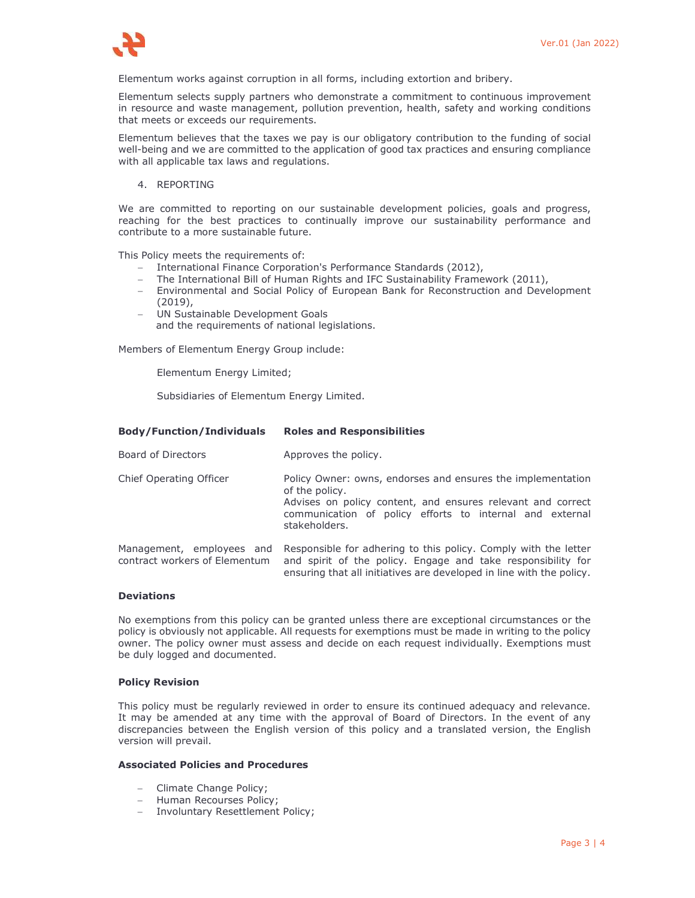

Elementum works against corruption in all forms, including extortion and bribery.

Elementum selects supply partners who demonstrate a commitment to continuous improvement in resource and waste management, pollution prevention, health, safety and working conditions that meets or exceeds our requirements.

Elementum believes that the taxes we pay is our obligatory contribution to the funding of social well-being and we are committed to the application of good tax practices and ensuring compliance with all applicable tax laws and regulations.

4. REPORTING

We are committed to reporting on our sustainable development policies, goals and progress, reaching for the best practices to continually improve our sustainability performance and contribute to a more sustainable future.

This Policy meets the requirements of:

- International Finance Corporation's Performance Standards (2012),
- The International Bill of Human Rights and IFC Sustainability Framework (2011),
- Environmental and Social Policy of European Bank for Reconstruction and Development (2019),
- UN Sustainable Development Goals
- and the requirements of national legislations.

Members of Elementum Energy Group include:

Elementum Energy Limited;

Subsidiaries of Elementum Energy Limited.

**Body/Function/Individuals Roles and Responsibilities**

| Board of Directors                                         | Approves the policy.                                                                                                                                                                                                      |
|------------------------------------------------------------|---------------------------------------------------------------------------------------------------------------------------------------------------------------------------------------------------------------------------|
| Chief Operating Officer                                    | Policy Owner: owns, endorses and ensures the implementation<br>of the policy.<br>Advises on policy content, and ensures relevant and correct<br>communication of policy efforts to internal and external<br>stakeholders. |
| Management, employees and<br>contract workers of Elementum | Responsible for adhering to this policy. Comply with the letter<br>and spirit of the policy. Engage and take responsibility for<br>ensuring that all initiatives are developed in line with the policy.                   |

## **Deviations**

No exemptions from this policy can be granted unless there are exceptional circumstances or the policy is obviously not applicable. All requests for exemptions must be made in writing to the policy owner. The policy owner must assess and decide on each request individually. Exemptions must be duly logged and documented.

## **Policy Revision**

This policy must be regularly reviewed in order to ensure its continued adequacy and relevance. It may be amended at any time with the approval of Board of Directors. In the event of any discrepancies between the English version of this policy and a translated version, the English version will prevail.

## **Associated Policies and Procedures**

- Climate Change Policy;
- Human Recourses Policy:
- Involuntary Resettlement Policy;